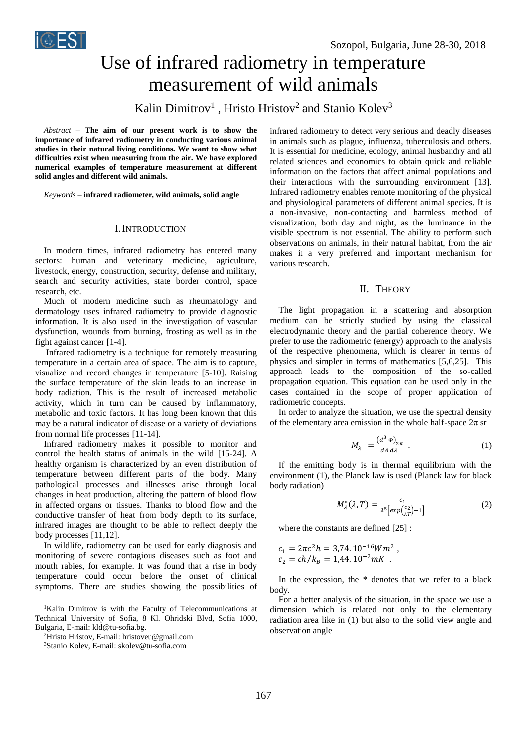

# Use of infrared radiometry in temperature measurement of wild animals

Kalin Dimitrov<sup>1</sup>, Hristo Hristov<sup>2</sup> and Stanio Kolev<sup>3</sup>

*Abstract –* **The aim of our present work is to show the importance of infrared radiometry in conducting various animal studies in their natural living conditions. We want to show what difficulties exist when measuring from the air. We have explored numerical examples of temperature measurement at different solid angles and different wild animals.**

*Keywords –* **infrared radiometer, wild animals, solid angle**

### I.INTRODUCTION

In modern times, infrared radiometry has entered many sectors: human and veterinary medicine, agriculture, livestock, energy, construction, security, defense and military, search and security activities, state border control, space research, etc.

Much of modern medicine such as rheumatology and dermatology uses infrared radiometry to provide diagnostic information. It is also used in the investigation of vascular dysfunction, wounds from burning, frosting as well as in the fight against cancer [1-4].

Infrared radiometry is a technique for remotely measuring temperature in a certain area of space. The aim is to capture, visualize and record changes in temperature [5-10]. Raising the surface temperature of the skin leads to an increase in body radiation. This is the result of increased metabolic activity, which in turn can be caused by inflammatory, metabolic and toxic factors. It has long been known that this may be a natural indicator of disease or a variety of deviations from normal life processes [11-14].

Infrared radiometry makes it possible to monitor and control the health status of animals in the wild [15-24]. A healthy organism is characterized by an even distribution of temperature between different parts of the body. Many pathological processes and illnesses arise through local changes in heat production, altering the pattern of blood flow in affected organs or tissues. Thanks to blood flow and the conductive transfer of heat from body depth to its surface, infrared images are thought to be able to reflect deeply the body processes [11,12].

In wildlife, radiometry can be used for early diagnosis and monitoring of severe contagious diseases such as foot and mouth rabies, for example. It was found that a rise in body temperature could occur before the onset of clinical symptoms. There are studies showing the possibilities of

<sup>1</sup>Kalin Dimitrov is with the Faculty of Telecommunications at Technical University of Sofia, 8 Kl. Ohridski Blvd, Sofia 1000, Bulgaria, E-mail: kld@tu-sofia.bg.

<sup>2</sup>Hristo Hristov, E-mail: hristoveu@gmail.com

<sup>3</sup>Stanio Kolev, E-mail: skolev@tu-sofia.com

infrared radiometry to detect very serious and deadly diseases in animals such as plague, influenza, tuberculosis and others. It is essential for medicine, ecology, animal husbandry and all related sciences and economics to obtain quick and reliable information on the factors that affect animal populations and their interactions with the surrounding environment [13]. Infrared radiometry enables remote monitoring of the physical and physiological parameters of different animal species. It is a non-invasive, non-contacting and harmless method of visualization, both day and night, as the luminance in the visible spectrum is not essential. The ability to perform such observations on animals, in their natural habitat, from the air makes it a very preferred and important mechanism for various research.

## II. THEORY

The light propagation in a scattering and absorption medium can be strictly studied by using the classical electrodynamic theory and the partial coherence theory. We prefer to use the radiometric (energy) approach to the analysis of the respective phenomena, which is clearer in terms of physics and simpler in terms of mathematics [5,6,25]. This approach leads to the composition of the so-called propagation equation. This equation can be used only in the cases contained in the scope of proper application of radiometric concepts.

In order to analyze the situation, we use the spectral density of the elementary area emission in the whole half-space  $2\pi$  sr

$$
M_{\lambda} = \frac{(d^3 \phi)_{2\pi}}{dA d\lambda} \tag{1}
$$

If the emitting body is in thermal equilibrium with the environment (1), the Planck law is used (Planck law for black body radiation)

$$
M_{\lambda}^{*}(\lambda, T) = \frac{c_1}{\lambda^5 \left[ exp(\frac{c_2}{\lambda T}) - 1 \right]}
$$
 (2)

where the constants are defined [25] :

 $c_1 = 2\pi c^2 h = 3{,}74.10^{-16} Wm^2$ ,  $c_2 = ch/k_B = 1.44.10^{-2} mK$ .

In the expression, the \* denotes that we refer to a black body.

For a better analysis of the situation, in the space we use a dimension which is related not only to the elementary radiation area like in (1) but also to the solid view angle and observation angle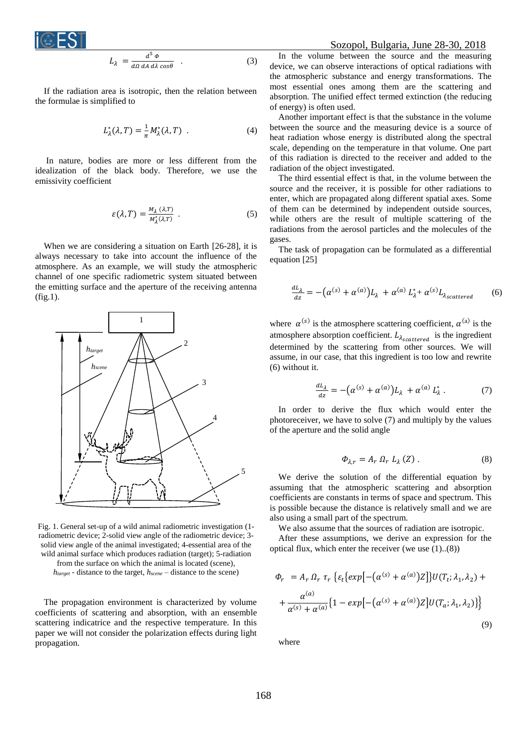

$$
L_{\lambda} = \frac{d^5 \phi}{d\Omega \, dA \, d\lambda \cos\theta} \quad . \tag{3}
$$

If the radiation area is isotropic, then the relation between the formulae is simplified to

$$
L^*_{\lambda}(\lambda, T) = \frac{1}{\pi} M^*_{\lambda}(\lambda, T) \tag{4}
$$

In nature, bodies are more or less different from the idealization of the black body. Therefore, we use the emissivity coefficient

$$
\varepsilon(\lambda, T) = \frac{M_{\lambda}(\lambda, T)}{M_{\lambda}^{*}(\lambda, T)} \tag{5}
$$

When we are considering a situation on Earth [26-28], it is always necessary to take into account the influence of the atmosphere. As an example, we will study the atmospheric channel of one specific radiometric system situated between the emitting surface and the aperture of the receiving antenna (fig.1).



Fig. 1. General set-up of a wild animal radiometric investigation (1 radiometric device; 2-solid view angle of the radiometric device; 3 solid view angle of the animal investigated; 4-essential area of the wild animal surface which produces radiation (target); 5-radiation from the surface on which the animal is located (scene),

*htarget* - distance to the target, *hscene* – distance to the scene)

The propagation environment is characterized by volume coefficients of scattering and absorption, with an ensemble scattering indicatrice and the respective temperature. In this paper we will not consider the polarization effects during light propagation.

#### Sozopol, Bulgaria, June 28-30, 2018

In the volume between the source and the measuring device, we can observe interactions of optical radiations with the atmospheric substance and energy transformations. The most essential ones among them are the scattering and absorption. The unified effect termed extinction (the reducing of energy) is often used.

Another important effect is that the substance in the volume between the source and the measuring device is a source of heat radiation whose energy is distributed along the spectral scale, depending on the temperature in that volume. One part of this radiation is directed to the receiver and added to the radiation of the object investigated.

The third essential effect is that, in the volume between the source and the receiver, it is possible for other radiations to enter, which are propagated along different spatial axes. Some of them can be determined by independent outside sources, while others are the result of multiple scattering of the radiations from the aerosol particles and the molecules of the gases.

The task of propagation can be formulated as a differential equation [25]

$$
\frac{dL_{\lambda}}{dz} = -(\alpha^{(s)} + \alpha^{(a)})L_{\lambda} + \alpha^{(a)} L_{\lambda}^{*} + \alpha^{(s)} L_{\lambda_{scattered}} \tag{6}
$$

where  $\alpha^{(s)}$  is the atmosphere scattering coefficient,  $\alpha^{(a)}$  is the atmosphere absorption coefficient.  $L_{\lambda_{scattered}}$  is the ingredient determined by the scattering from other sources. We will assume, in our case, that this ingredient is too low and rewrite (6) without it.

$$
\frac{dL_{\lambda}}{dz} = -(\alpha^{(s)} + \alpha^{(a)})L_{\lambda} + \alpha^{(a)} L_{\lambda}^{*}.
$$
 (7)

In order to derive the flux which would enter the photoreceiver, we have to solve (7) and multiply by the values of the aperture and the solid angle

$$
\Phi_{\lambda,r} = A_r \Omega_r L_\lambda(Z) . \tag{8}
$$

We derive the solution of the differential equation by assuming that the atmospheric scattering and absorption coefficients are constants in terms of space and spectrum. This is possible because the distance is relatively small and we are also using a small part of the spectrum.

We also assume that the sources of radiation are isotropic.

After these assumptions, we derive an expression for the optical flux, which enter the receiver (we use (1)..(8))

$$
\Phi_r = A_r \Omega_r \tau_r \left\{ \varepsilon_t \left[ exp\left[ -(\alpha^{(s)} + \alpha^{(a)}) Z \right] \right\} U(T_t; \lambda_1, \lambda_2) + \right. \\ \left. + \frac{\alpha^{(a)}}{\alpha^{(s)} + \alpha^{(a)}} \left\{ 1 - exp\left[ -(\alpha^{(s)} + \alpha^{(a)}) Z \right] U(T_a; \lambda_1, \lambda_2) \right\} \right\} \tag{9}
$$

where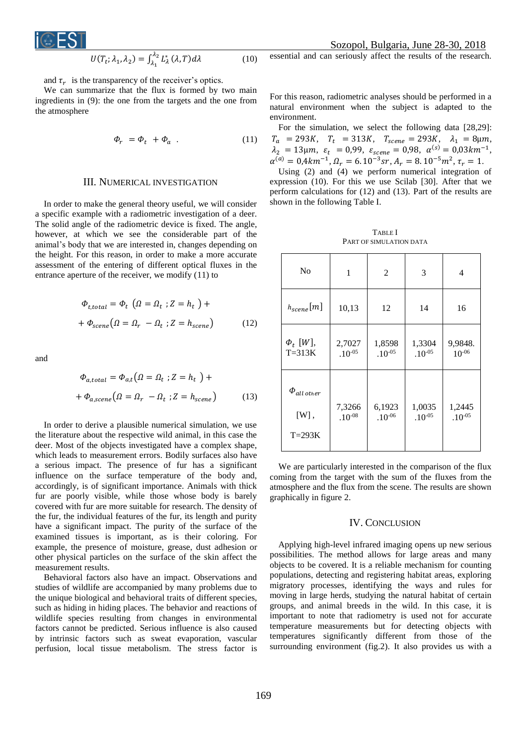$$
i@EST
$$

 Sozopol, Bulgaria, June 28-30, 2018 essential and can seriously affect the results of the research.

$$
U(T_t; \lambda_1, \lambda_2) = \int_{\lambda_1}^{\lambda_2} L_\lambda^* (\lambda, T) d\lambda \tag{10}
$$

and  $\tau_r$  is the transparency of the receiver's optics.

We can summarize that the flux is formed by two main ingredients in (9): the one from the targets and the one from the atmosphere

$$
\Phi_r = \Phi_t + \Phi_a \tag{11}
$$

# III. NUMERICAL INVESTIGATION

In order to make the general theory useful, we will consider a specific example with a radiometric investigation of a deer. The solid angle of the radiometric device is fixed. The angle, however, at which we see the considerable part of the animal's body that we are interested in, changes depending on the height. For this reason, in order to make a more accurate assessment of the entering of different optical fluxes in the entrance aperture of the receiver, we modify (11) to

$$
\Phi_{t, total} = \Phi_t \left( \Omega = \Omega_t ; Z = h_t \right) +
$$
  
+ 
$$
\Phi_{\text{scene}} \left( \Omega = \Omega_r - \Omega_t ; Z = h_{\text{scene}} \right) \tag{12}
$$

and

$$
\Phi_{a, total} = \Phi_{a,t} (\Omega = \Omega_t ; Z = h_t ) +
$$
  
+ 
$$
\Phi_{a, scene} (\Omega = \Omega_r - \Omega_t ; Z = h_{scene})
$$
 (13)

In order to derive a plausible numerical simulation, we use the literature about the respective wild animal, in this case the deer. Most of the objects investigated have a complex shape, which leads to measurement errors. Bodily surfaces also have a serious impact. The presence of fur has a significant influence on the surface temperature of the body and, accordingly, is of significant importance. Animals with thick fur are poorly visible, while those whose body is barely covered with fur are more suitable for research. The density of the fur, the individual features of the fur, its length and purity have a significant impact. The purity of the surface of the examined tissues is important, as is their coloring. For example, the presence of moisture, grease, dust adhesion or other physical particles on the surface of the skin affect the measurement results.

Behavioral factors also have an impact. Observations and studies of wildlife are accompanied by many problems due to the unique biological and behavioral traits of different species, such as hiding in hiding places. The behavior and reactions of wildlife species resulting from changes in environmental factors cannot be predicted. Serious influence is also caused by intrinsic factors such as sweat evaporation, vascular perfusion, local tissue metabolism. The stress factor is For this reason, radiometric analyses should be performed in a natural environment when the subject is adapted to the environment.

For the simulation, we select the following data [28,29]:  $T_a$  = 293K,  $T_t$  = 313K,  $T_{scene}$  = 293K,  $\lambda_1$  = 8µm,  $\lambda_2 = 13 \mu m, \ \varepsilon_t = 0.99, \ \varepsilon_{scene} = 0.98, \ \alpha^{(s)} = 0.03 \, km^{-1},$  $\alpha^{(a)} = 0,4km^{-1}, \Omega_r = 6.10^{-3}sr, A_r = 8.10^{-5}m^2, \tau_r = 1.$ 

Using (2) and (4) we perform numerical integration of expression (10). For this we use Scilab [30]. After that we perform calculations for (12) and (13). Part of the results are shown in the following Table I.

| <b>TABLE</b> I          |
|-------------------------|
| PART OF SIMULATION DATA |

| N <sub>0</sub>                                | 1                            | 2                     | 3                     | 4                     |
|-----------------------------------------------|------------------------------|-----------------------|-----------------------|-----------------------|
| $h_{scene}[m]$                                | 10,13                        | 12                    | 14                    | 16                    |
| $\Phi_t$ [W],<br>$T=313K$                     | 2,7027<br>$.10^{\text{-}05}$ | 1,8598<br>$.10^{-05}$ | 1,3304<br>$.10^{-05}$ | 9,9848.<br>$10^{-06}$ |
| $\varPhi_{all\;other}$<br>$[W]$ ,<br>$T=293K$ | 7,3266<br>$.10^{-08}$        | 6,1923<br>$.10^{-06}$ | 1,0035<br>$.10^{-05}$ | 1,2445<br>$.10^{-05}$ |

We are particularly interested in the comparison of the flux coming from the target with the sum of the fluxes from the atmosphere and the flux from the scene. The results are shown graphically in figure 2.

# IV. CONCLUSION

Applying high-level infrared imaging opens up new serious possibilities. The method allows for large areas and many objects to be covered. It is a reliable mechanism for counting populations, detecting and registering habitat areas, exploring migratory processes, identifying the ways and rules for moving in large herds, studying the natural habitat of certain groups, and animal breeds in the wild. In this case, it is important to note that radiometry is used not for accurate temperature measurements but for detecting objects with temperatures significantly different from those of the surrounding environment (fig.2). It also provides us with a